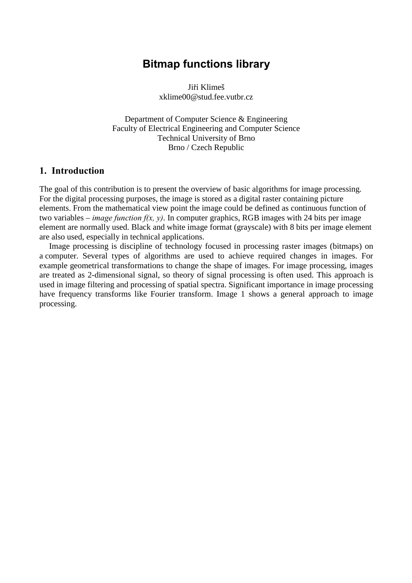# Bitmap functions library

Jiří Klimeš xklime00@stud.fee.vutbr.cz

Department of Computer Science & Engineering Faculty of Electrical Engineering and Computer Science Technical University of Brno Brno / Czech Republic

#### 1. Introduction

The goal of this contribution is to present the overview of basic algorithms for image processing. For the digital processing purposes, the image is stored as a digital raster containing picture elements. From the mathematical view point the image could be defined as continuous function of two variables – *image function f(x, y)*. In computer graphics, RGB images with 24 bits per image element are normally used. Black and white image format (grayscale) with 8 bits per image element are also used, especially in technical applications.

Image processing is discipline of technology focused in processing raster images (bitmaps) on a computer. Several types of algorithms are used to achieve required changes in images. For example geometrical transformations to change the shape of images. For image processing, images are treated as 2-dimensional signal, so theory of signal processing is often used. This approach is used in image filtering and processing of spatial spectra. Significant importance in image processing have frequency transforms like Fourier transform. Image 1 shows a general approach to image processing.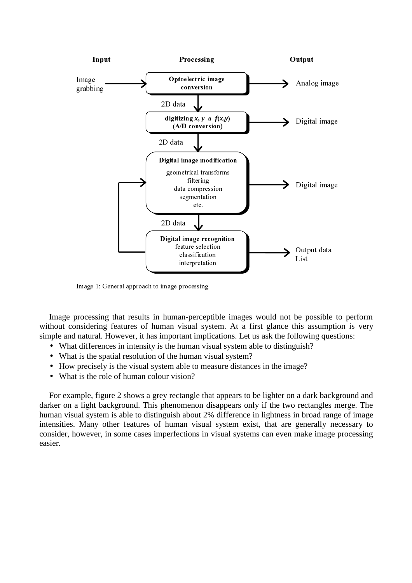

Image 1: General approach to image processing

Image processing that results in human-perceptible images would not be possible to perform without considering features of human visual system. At a first glance this assumption is very simple and natural. However, it has important implications. Let us ask the following questions:

- What differences in intensity is the human visual system able to distinguish?
- What is the spatial resolution of the human visual system?
- How precisely is the visual system able to measure distances in the image?
- What is the role of human colour vision?

For example, figure 2 shows a grey rectangle that appears to be lighter on a dark background and darker on a light background. This phenomenon disappears only if the two rectangles merge. The human visual system is able to distinguish about 2% difference in lightness in broad range of image intensities. Many other features of human visual system exist, that are generally necessary to consider, however, in some cases imperfections in visual systems can even make image processing easier.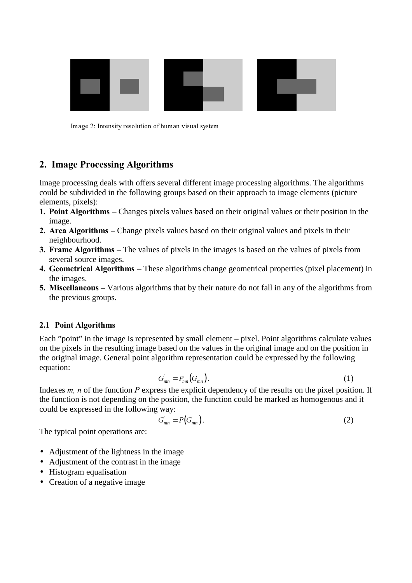

Image 2: Intensity resolution of human visual system

#### 2. Image Processing Algorithms

Image processing deals with offers several different image processing algorithms. The algorithms could be subdivided in the following groups based on their approach to image elements (picture elements, pixels):

- **1. Point Algorithms** Changes pixels values based on their original values or their position in the image.
- 2. Area Algorithms Change pixels values based on their original values and pixels in their neighbourhood.
- 3. Frame Algorithms The values of pixels in the images is based on the values of pixels from several source images.
- 4. Geometrical Algorithms These algorithms change geometrical properties (pixel placement) in the images.
- 5. Miscellaneous Various algorithms that by their nature do not fall in any of the algorithms from the previous groups.

#### 2.1 Point Algorithms

Each "point" in the image is represented by small element – pixel. Point algorithms calculate values on the pixels in the resulting image based on the values in the original image and on the position in the original image. General point algorithm representation could be expressed by the following equation:

$$
G_{mn} = P_{mn}(G_{mn}). \tag{1}
$$

Indexes  $m$ ,  $n$  of the function  $P$  express the explicit dependency of the results on the pixel position. If the function is not depending on the position, the function could be marked as homogenous and it could be expressed in the following way:<br> $G_{mn} = P(G_{mn})$ 

$$
G_{mn} = P(G_{mn}). \tag{2}
$$

The typical point operations are:

- Adjustment of the lightness in the image
- Adjustment of the contrast in the image
- Histogram equalisation
- Creation of a negative image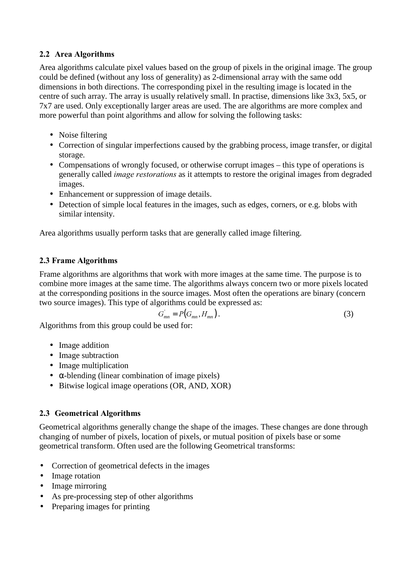#### 2.2 Area Algorithms

Area algorithms calculate pixel values based on the group of pixels in the original image. The group could be defined (without any loss of generality) as 2-dimensional array with the same odd dimensions in both directions. The corresponding pixel in the resulting image is located in the centre of such array. The array is usually relatively small. In practise, dimensions like 3x3, 5x5, or 7x7 are used. Only exceptionally larger areas are used. The are algorithms are more complex and more powerful than point algorithms and allow for solving the following tasks:

- Noise filtering
- Correction of singular imperfections caused by the grabbing process, image transfer, or digital storage.
- Compensations of wrongly focused, or otherwise corrupt images this type of operations is generally called *image restorations* as it attempts to restore the original images from degraded images.
- Enhancement or suppression of image details.
- Detection of simple local features in the images, such as edges, corners, or e.g. blobs with similar intensity.

Area algorithms usually perform tasks that are generally called image filtering.

## 2.3 Frame Algorithms

Frame algorithms are algorithms that work with more images at the same time. The purpose is to combine more images at the same time. The algorithms always concern two or more pixels located at the corresponding positions in the source images. Most often the operations are binary (concern two source images). This type of algorithms could be expressed as:

$$
G_{mn} = P(G_{mn}, H_{mn}). \tag{3}
$$

Algorithms from this group could be used for:

- Image addition
- Image subtraction
- Image multiplication
- $\bullet$   $\alpha$ -blending (linear combination of image pixels)
- Bitwise logical image operations (OR, AND, XOR)

## 2.3 Geometrical Algorithms

Geometrical algorithms generally change the shape of the images. These changes are done through changing of number of pixels, location of pixels, or mutual position of pixels base or some geometrical transform. Often used are the following Geometrical transforms:

- Correction of geometrical defects in the images
- Image rotation
- Image mirroring
- As pre-processing step of other algorithms
- Preparing images for printing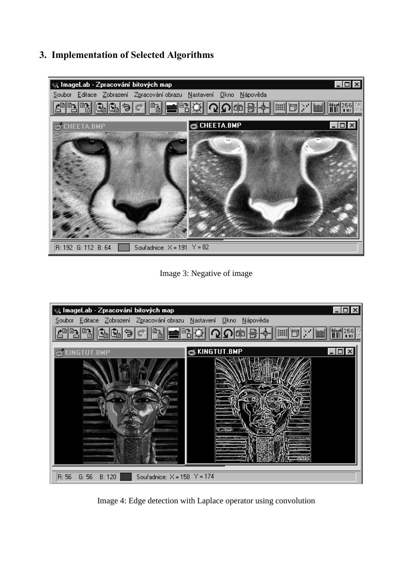# 3. Implementation of Selected Algorithms



Image 3: Negative of image



Image 4: Edge detection with Laplace operator using convolution